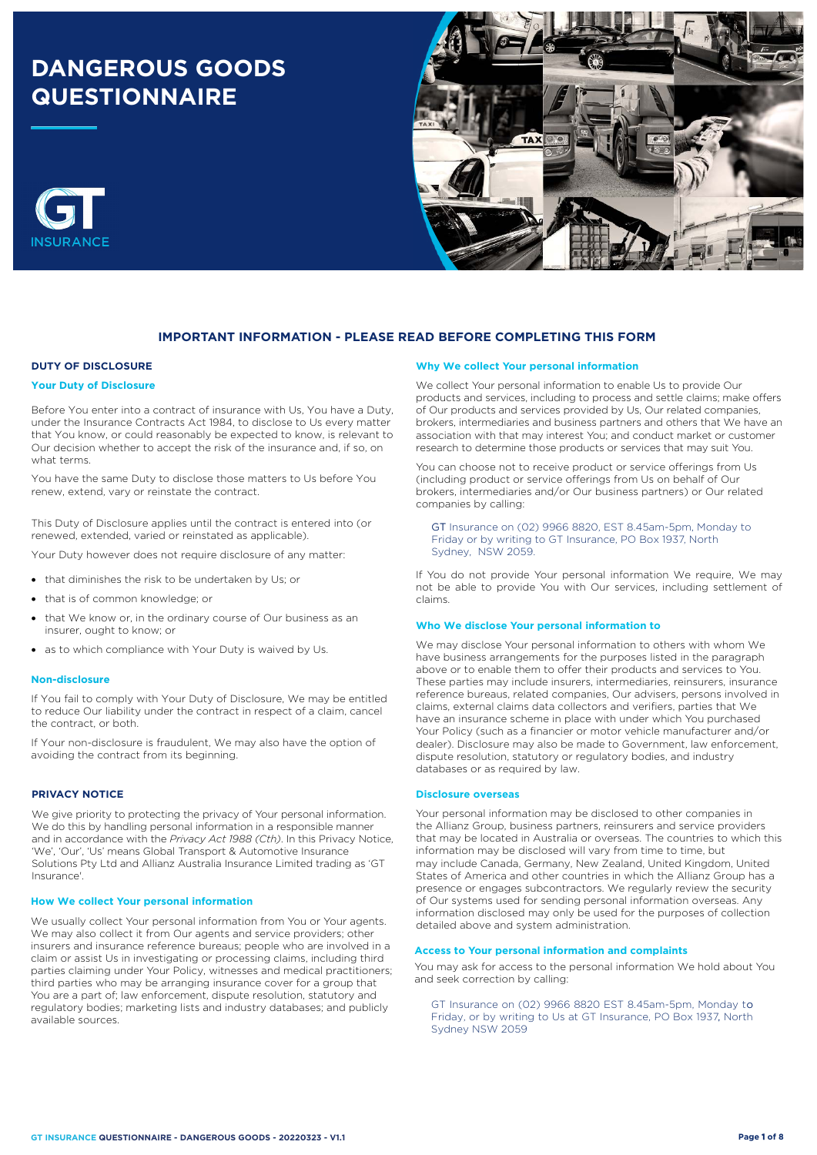# **DANGEROUS GOODS QUESTIONNAIRE**





# **IMPORTANT INFORMATION - PLEASE READ BEFORE COMPLETING THIS FORM**

# **DUTY OF DISCLOSURE**

## **Your Duty of Disclosure**

Before You enter into a contract of insurance with Us, You have a Duty, under the Insurance Contracts Act 1984, to disclose to Us every matter that You know, or could reasonably be expected to know, is relevant to Our decision whether to accept the risk of the insurance and, if so, on what terms.

You have the same Duty to disclose those matters to Us before You renew, extend, vary or reinstate the contract.

This Duty of Disclosure applies until the contract is entered into (or renewed, extended, varied or reinstated as applicable).

Your Duty however does not require disclosure of any matter:

- that diminishes the risk to be undertaken by Us; or
- that is of common knowledge; or
- that We know or, in the ordinary course of Our business as an insurer, ought to know; or
- as to which compliance with Your Duty is waived by Us.

#### **Non-disclosure**

If You fail to comply with Your Duty of Disclosure, We may be entitled to reduce Our liability under the contract in respect of a claim, cancel the contract, or both.

If Your non-disclosure is fraudulent, We may also have the option of avoiding the contract from its beginning.

## **PRIVACY NOTICE**

We give priority to protecting the privacy of Your personal information. We do this by handling personal information in a responsible manner and in accordance with the *Privacy Act 1988 (Cth)*. In this Privacy Notice, 'We', 'Our', 'Us' means Global Transport & Automotive Insurance Solutions Pty Ltd and Allianz Australia Insurance Limited trading as 'GT Insurance'.

#### **How We collect Your personal information**

We usually collect Your personal information from You or Your agents. We may also collect it from Our agents and service providers; other insurers and insurance reference bureaus; people who are involved in a claim or assist Us in investigating or processing claims, including third parties claiming under Your Policy, witnesses and medical practitioners; third parties who may be arranging insurance cover for a group that You are a part of; law enforcement, dispute resolution, statutory and regulatory bodies; marketing lists and industry databases; and publicly available sources.

#### **Why We collect Your personal information**

We collect Your personal information to enable Us to provide Our products and services, including to process and settle claims; make offers of Our products and services provided by Us, Our related companies, brokers, intermediaries and business partners and others that We have an association with that may interest You; and conduct market or customer research to determine those products or services that may suit You.

You can choose not to receive product or service offerings from Us (including product or service offerings from Us on behalf of Our brokers, intermediaries and/or Our business partners) or Our related companies by calling:

GT Insurance on (02) 9966 8820, EST 8.45am-5pm, Monday to Friday or by writing to GT Insurance, PO Box 1937, North Sydney, NSW 2059.

If You do not provide Your personal information We require, We may not be able to provide You with Our services, including settlement of claims.

#### **Who We disclose Your personal information to**

We may disclose Your personal information to others with whom We have business arrangements for the purposes listed in the paragraph above or to enable them to offer their products and services to You. These parties may include insurers, intermediaries, reinsurers, insurance reference bureaus, related companies, Our advisers, persons involved in claims, external claims data collectors and verifiers, parties that We have an insurance scheme in place with under which You purchased Your Policy (such as a financier or motor vehicle manufacturer and/or dealer). Disclosure may also be made to Government, law enforcement, dispute resolution, statutory or regulatory bodies, and industry databases or as required by law.

#### **Disclosure overseas**

Your personal information may be disclosed to other companies in the Allianz Group, business partners, reinsurers and service providers that may be located in Australia or overseas. The countries to which this information may be disclosed will vary from time to time, but may include Canada, Germany, New Zealand, United Kingdom, United States of America and other countries in which the Allianz Group has a presence or engages subcontractors. We regularly review the security of Our systems used for sending personal information overseas. Any information disclosed may only be used for the purposes of collection detailed above and system administration.

# **Access to Your personal information and complaints**

You may ask for access to the personal information We hold about You and seek correction by calling:

GT Insurance on (02) 9966 8820 EST 8.45am-5pm, Monday to Friday, or by writing to Us at GT Insurance, PO Box 1937, North Sydney NSW 2059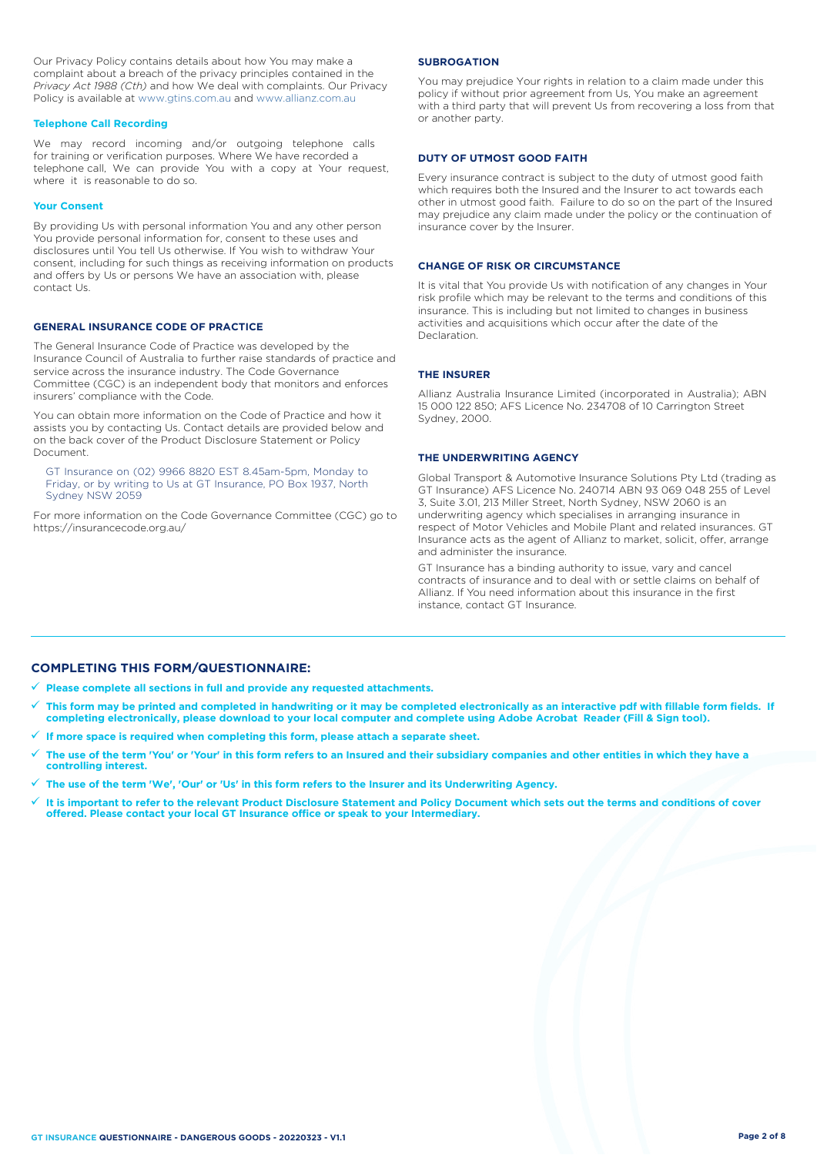Our Privacy Policy contains details about how You may make a complaint about a breach of the privacy principles contained in the *Privacy Act 1988 (Cth)* and how We deal with complaints. Our Privacy Policy is available at [www.gtins.com.au](https://www.gtins.com.au/documents-and-policies/) and [www.allianz.com.au](https://www.allianz.com.au/about-us/privacy/)

## **Telephone Call Recording**

We may record incoming and/or outgoing telephone calls for training or verification purposes. Where We have recorded a telephone call, We can provide You with a copy at Your request, where it is reasonable to do so.

#### **Your Consent**

By providing Us with personal information You and any other person You provide personal information for, consent to these uses and disclosures until You tell Us otherwise. If You wish to withdraw Your consent, including for such things as receiving information on products and offers by Us or persons We have an association with, please contact Us.

## **GENERAL INSURANCE CODE OF PRACTICE**

The General Insurance Code of Practice was developed by the Insurance Council of Australia to further raise standards of practice and service across the insurance industry. The Code Governance Committee (CGC) is an independent body that monitors and enforces insurers' compliance with the Code.

You can obtain more information on the Code of Practice and how it assists you by contacting Us. Contact details are provided below and on the back cover of the Product Disclosure Statement or Policy Document.

GT Insurance on (02) 9966 8820 EST 8.45am-5pm, Monday to Friday, or by writing to Us at GT Insurance, PO Box 1937, North Sydney NSW 2059

For more information on the Code Governance Committee (CGC) go to <https://insurancecode.org.au/>

### **SUBROGATION**

You may prejudice Your rights in relation to a claim made under this policy if without prior agreement from Us, You make an agreement with a third party that will prevent Us from recovering a loss from that or another party.

### **DUTY OF UTMOST GOOD FAITH**

Every insurance contract is subject to the duty of utmost good faith which requires both the Insured and the Insurer to act towards each other in utmost good faith. Failure to do so on the part of the Insured may prejudice any claim made under the policy or the continuation of insurance cover by the Insurer.

## **CHANGE OF RISK OR CIRCUMSTANCE**

It is vital that You provide Us with notification of any changes in Your risk profile which may be relevant to the terms and conditions of this insurance. This is including but not limited to changes in business activities and acquisitions which occur after the date of the Declaration.

## **THE INSURER**

Allianz Australia Insurance Limited (incorporated in Australia); ABN 15 000 122 850; AFS Licence No. 234708 of 10 Carrington Street Sydney, 2000.

## **THE UNDERWRITING AGENCY**

Global Transport & Automotive Insurance Solutions Pty Ltd (trading as GT Insurance) AFS Licence No. 240714 ABN 93 069 048 255 of Level 3, Suite 3.01, 213 Miller Street, North Sydney, NSW 2060 is an underwriting agency which specialises in arranging insurance in respect of Motor Vehicles and Mobile Plant and related insurances. GT Insurance acts as the agent of Allianz to market, solicit, offer, arrange and administer the insurance.

GT Insurance has a binding authority to issue, vary and cancel contracts of insurance and to deal with or settle claims on behalf of Allianz. If You need information about this insurance in the first instance, contact GT Insurance.

# **COMPLETING THIS FORM/QUESTIONNAIRE:**

**Please complete all sections in full and provide any requested attachments.**

- **This form may be printed and completed in handwriting or it may be completed electronically as an interactive pdf with fillable form fields. If completing electronically, please download to your local computer and complete using Adobe Acrobat Reader (Fill & Sign tool).**
- **If more space is required when completing this form, please attach a separate sheet.**
- **The use of the term 'You' or 'Your' in this form refers to an Insured and their subsidiary companies and other entities in which they have a controlling interest.**
- **The use of the term 'We', 'Our' or 'Us' in this form refers to the Insurer and its Underwriting Agency.**
- **It is important to refer to the relevant Product Disclosure Statement and Policy Document which sets out the terms and conditions of cover offered. Please contact your local GT Insurance office or speak to your Intermediary.**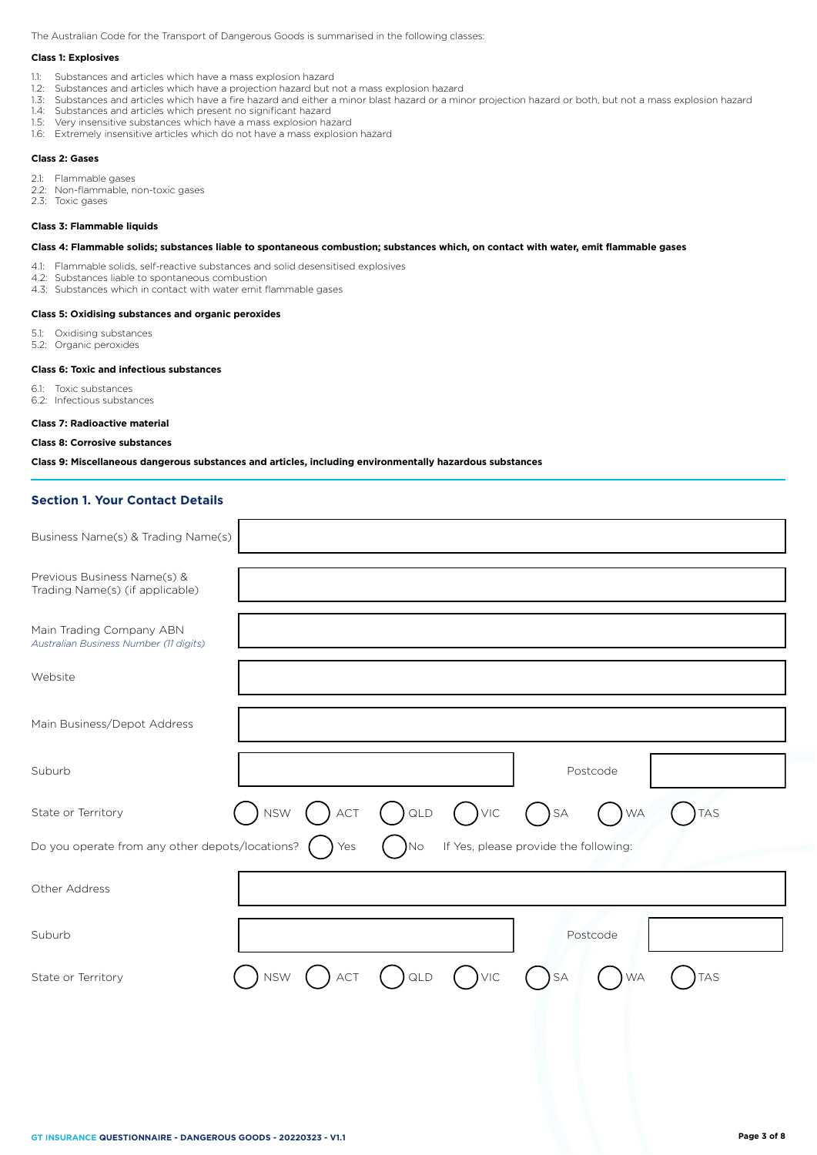The Australian Code for the Transport of Dangerous Goods is summarised in the following classes:

## **Class 1: Explosives**

- 1.1: Substances and articles which have a mass explosion hazard
- 1.2: Substances and articles which have a projection hazard but not a mass explosion hazard
- 1.3: Substances and articles which have a fire hazard and either a minor blast hazard or a minor projection hazard or both, but not a mass explosion hazard
- 1.4: Substances and articles which present no significant hazard
- 1.5: Very insensitive substances which have a mass explosion hazard
- 1.6: Extremely insensitive articles which do not have a mass explosion hazard

## **Class 2: Gases**

- 2.1: Flammable gases
- 2.2: Non-flammable, non-toxic gases
- 2.3: Toxic gases

#### **Class 3: Flammable liquids**

## **Class 4: Flammable solids; substances liable to spontaneous combustion; substances which, on contact with water, emit flammable gases**

- 4.1: Flammable solids, self-reactive substances and solid desensitised explosives
- 4.2: Substances liable to spontaneous combustion
- 4.3: Substances which in contact with water emit flammable gases

#### **Class 5: Oxidising substances and organic peroxides**

- 5.1: Oxidising substances
- 5.2: Organic peroxides

## **Class 6: Toxic and infectious substances**

- 6.1: Toxic substances
- 6.2: Infectious substances

#### **Class 7: Radioactive material**

## **Class 8: Corrosive substances**

# **Class 9: Miscellaneous dangerous substances and articles, including environmentally hazardous substances**

## **Section 1. Your Contact Details**

| Business Name(s) & Trading Name(s)                                 |            |            |               |                                       |           |           |            |
|--------------------------------------------------------------------|------------|------------|---------------|---------------------------------------|-----------|-----------|------------|
| Previous Business Name(s) &<br>Trading Name(s) (if applicable)     |            |            |               |                                       |           |           |            |
| Main Trading Company ABN<br>Australian Business Number (11 digits) |            |            |               |                                       |           |           |            |
| Website                                                            |            |            |               |                                       |           |           |            |
| Main Business/Depot Address                                        |            |            |               |                                       |           |           |            |
| Suburb                                                             |            |            |               |                                       |           | Postcode  |            |
| State or Territory                                                 | ) NSW      | $)$ act    | $\bigcap$ QLD | $()$ $VIC$                            | $( )$ SA  | <b>WA</b> | <b>TAS</b> |
| Do you operate from any other depots/locations?                    |            | Yes        | No.           | If Yes, please provide the following: |           |           |            |
| Other Address                                                      |            |            |               |                                       |           |           |            |
| Suburb                                                             |            |            |               |                                       |           | Postcode  |            |
| State or Territory                                                 | <b>NSW</b> | <b>ACT</b> | QLD           | VIC                                   | <b>SA</b> | <b>WA</b> | <b>TAS</b> |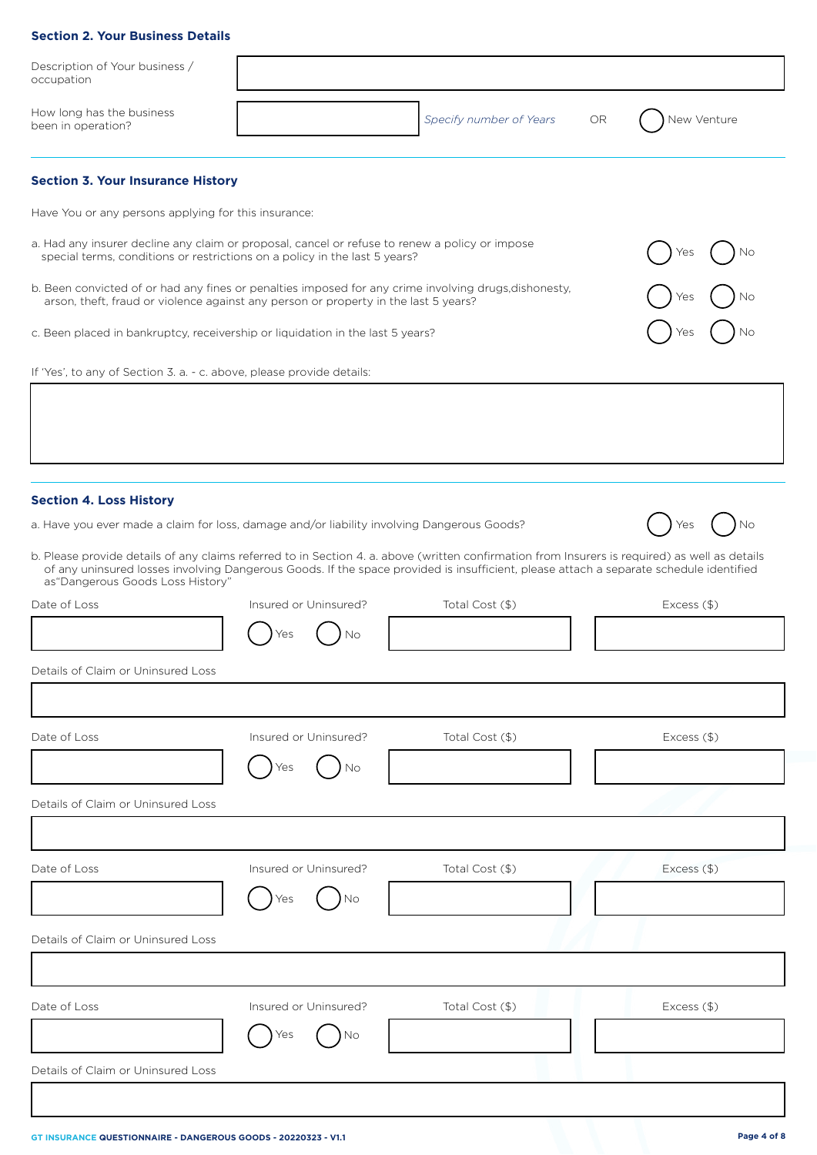# **Section 2. Your Business Details**

| Description of Your business /<br>occupation                                                                                                                                                 |                       |                         |    |               |
|----------------------------------------------------------------------------------------------------------------------------------------------------------------------------------------------|-----------------------|-------------------------|----|---------------|
| How long has the business<br>been in operation?                                                                                                                                              |                       | Specify number of Years | OR | New Venture   |
| <b>Section 3. Your Insurance History</b>                                                                                                                                                     |                       |                         |    |               |
| Have You or any persons applying for this insurance:                                                                                                                                         |                       |                         |    |               |
| a. Had any insurer decline any claim or proposal, cancel or refuse to renew a policy or impose<br>special terms, conditions or restrictions on a policy in the last 5 years?                 |                       |                         |    |               |
| b. Been convicted of or had any fines or penalties imposed for any crime involving drugs, dishonesty,<br>arson, theft, fraud or violence against any person or property in the last 5 years? |                       |                         |    |               |
| c. Been placed in bankruptcy, receivership or liquidation in the last 5 years?                                                                                                               |                       |                         |    |               |
| If 'Yes', to any of Section 3. a. - c. above, please provide details:                                                                                                                        |                       |                         |    |               |
|                                                                                                                                                                                              |                       |                         |    |               |
|                                                                                                                                                                                              |                       |                         |    |               |
|                                                                                                                                                                                              |                       |                         |    |               |
| <b>Section 4. Loss History</b><br>a. Have you ever made a claim for loss, damage and/or liability involving Dangerous Goods?                                                                 |                       |                         |    |               |
| b. Please provide details of any claims referred to in Section 4. a. above (written confirmation from Insurers is required) as well as details                                               |                       |                         |    |               |
| of any uninsured losses involving Dangerous Goods. If the space provided is insufficient, please attach a separate schedule identified<br>as "Dangerous Goods Loss History"                  |                       |                         |    |               |
| Date of Loss                                                                                                                                                                                 | Insured or Uninsured? | Total Cost (\$)         |    | $Excess$ (\$) |
|                                                                                                                                                                                              | Νo                    |                         |    |               |
| Details of Claim or Uninsured Loss                                                                                                                                                           |                       |                         |    |               |
|                                                                                                                                                                                              |                       |                         |    |               |
| Date of Loss                                                                                                                                                                                 | Insured or Uninsured? | Total Cost (\$)         |    | Excess (\$)   |
|                                                                                                                                                                                              | No                    |                         |    |               |
| Details of Claim or Uninsured Loss                                                                                                                                                           |                       |                         |    |               |
|                                                                                                                                                                                              |                       |                         |    |               |
| Date of Loss                                                                                                                                                                                 | Insured or Uninsured? | Total Cost (\$)         |    | Excess (\$)   |
|                                                                                                                                                                                              | No                    |                         |    |               |
| Details of Claim or Uninsured Loss                                                                                                                                                           |                       |                         |    |               |
|                                                                                                                                                                                              |                       |                         |    |               |
| Date of Loss                                                                                                                                                                                 | Insured or Uninsured? | Total Cost (\$)         |    | Excess (\$)   |
|                                                                                                                                                                                              | No                    |                         |    |               |
| Details of Claim or Uninsured Loss                                                                                                                                                           |                       |                         |    |               |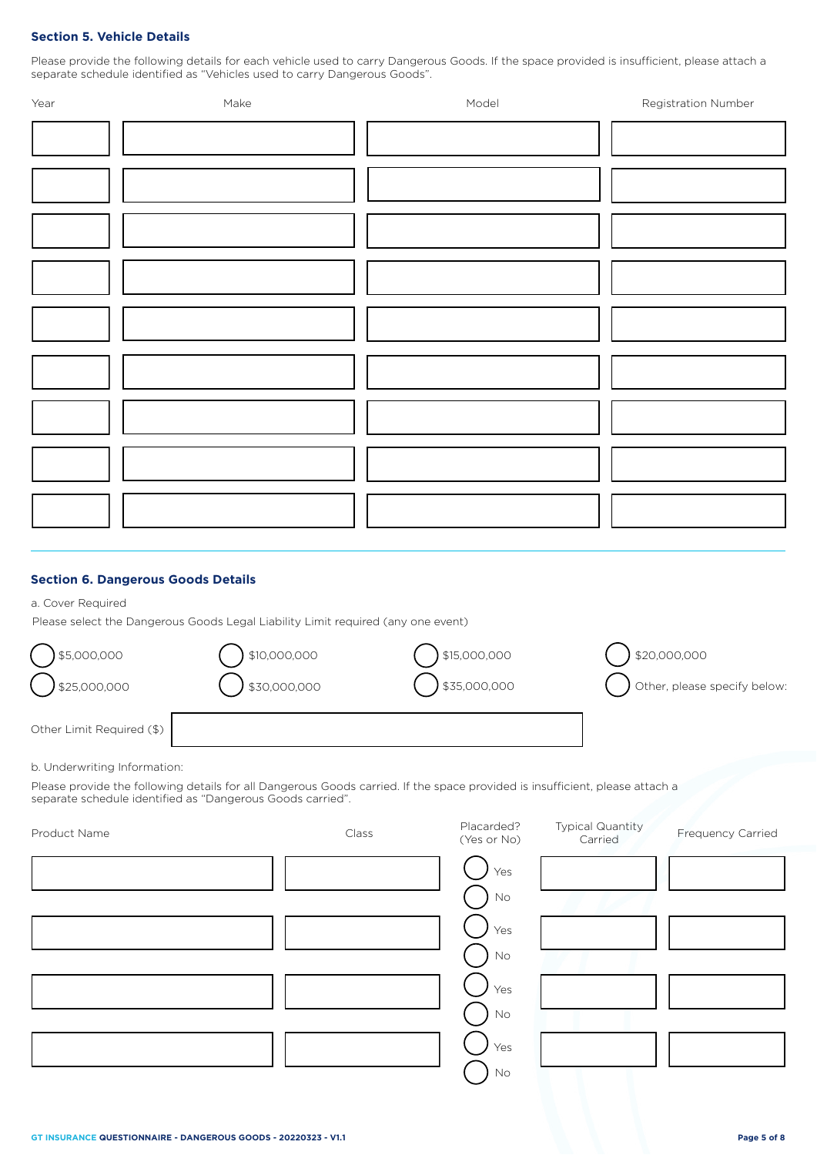# **Section 5. Vehicle Details**

Please provide the following details for each vehicle used to carry Dangerous Goods. If the space provided is insufficient, please attach a separate schedule identified as "Vehicles used to carry Dangerous Goods".

| Year | Make | Model | Registration Number |
|------|------|-------|---------------------|
|      |      |       |                     |
|      |      |       |                     |
|      |      |       |                     |
|      |      |       |                     |
|      |      |       |                     |
|      |      |       |                     |
|      |      |       |                     |
|      |      |       |                     |
|      |      |       |                     |
|      |      |       |                     |
|      |      |       |                     |
|      |      |       |                     |
|      |      |       |                     |
|      |      |       |                     |
|      |      |       |                     |
|      |      |       |                     |
|      |      |       |                     |
|      |      |       |                     |
|      |      |       |                     |
|      |      |       |                     |
|      |      |       |                     |
|      |      |       |                     |
|      |      |       |                     |

# **Section 6. Dangerous Goods Details**

a. Cover Required

Please select the Dangerous Goods Legal Liability Limit required (any one event)

| \$5,000,000               | \$10,000,000 | \$15,000,000 | \$20,000,000                 |
|---------------------------|--------------|--------------|------------------------------|
| 325,000,000               | \$30,000,000 | \$35,000,000 | Other, please specify below: |
| Other Limit Required (\$) |              |              |                              |

b. Underwriting Information:

Please provide the following details for all Dangerous Goods carried. If the space provided is insufficient, please attach a separate schedule identified as "Dangerous Goods carried".

| Product Name | Class | Placarded?<br>(Yes or No) | <b>Typical Quantity</b><br>Carried | Frequency Carried |
|--------------|-------|---------------------------|------------------------------------|-------------------|
|              |       | Yes<br>$\rm No$           |                                    |                   |
|              |       | Yes<br>$\rm No$           |                                    |                   |
|              |       | Yes<br>$\mathsf{No}$      |                                    |                   |
|              |       | Yes<br>No                 |                                    |                   |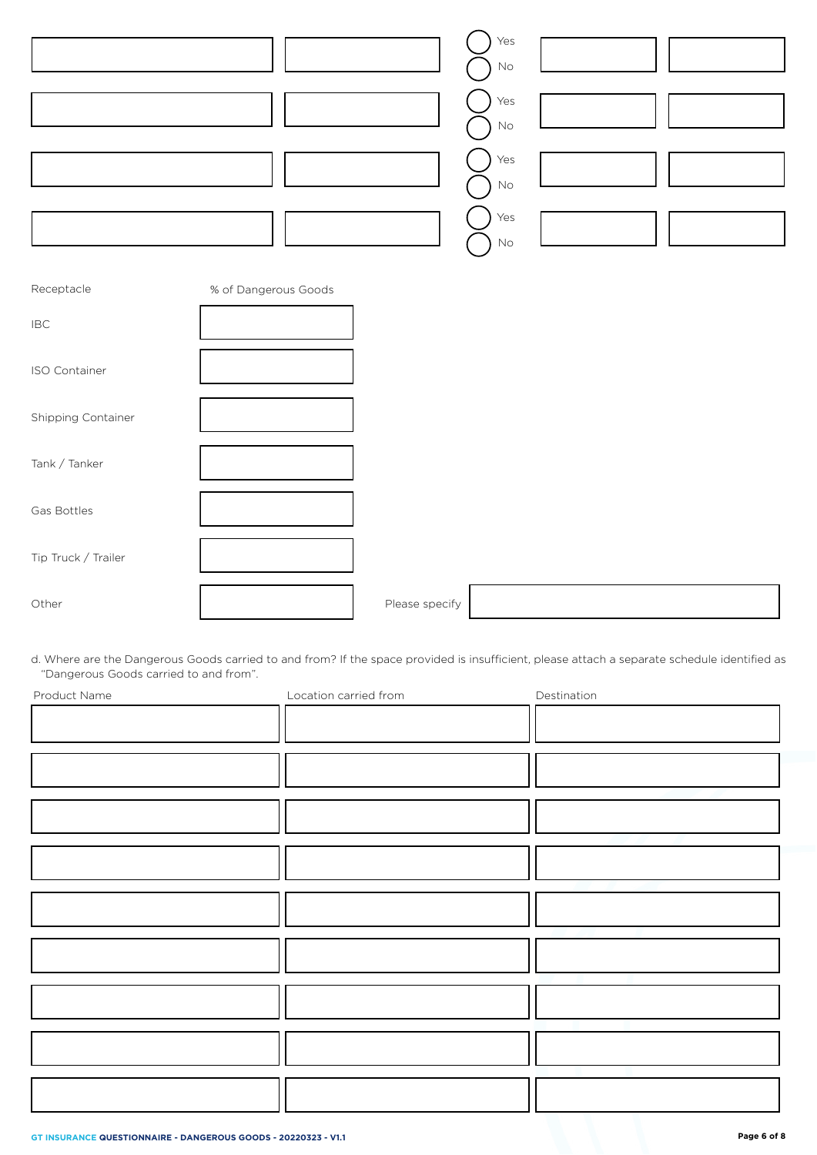|                | Yes<br>$\mathsf{No}$<br>Yes<br>$\mathsf{No}$<br>Yes<br>$\mathsf{No}$<br>Yes<br>$\mathsf{No}$ |  |
|----------------|----------------------------------------------------------------------------------------------|--|
| Receptacle     | % of Dangerous Goods                                                                         |  |
| $\mathsf{IBC}$ |                                                                                              |  |
| ISO Container  |                                                                                              |  |

| Tank / Tanker       |                |  |
|---------------------|----------------|--|
| Gas Bottles         |                |  |
| Tip Truck / Trailer |                |  |
| Other               | Please specify |  |

d. Where are the Dangerous Goods carried to and from? If the space provided is insufficient, please attach a separate schedule identified as "Dangerous Goods carried to and from".

| Product Name | Location carried from | Destination |
|--------------|-----------------------|-------------|
|              |                       |             |
|              |                       |             |
|              |                       |             |
|              |                       |             |
|              |                       |             |
|              |                       |             |
|              |                       |             |
|              |                       |             |
|              |                       |             |
|              |                       |             |
|              |                       |             |
|              |                       |             |
|              |                       |             |
|              |                       |             |
|              |                       |             |
|              |                       |             |
|              |                       |             |
|              |                       |             |
|              |                       |             |
|              |                       |             |
|              |                       |             |
|              |                       |             |
|              |                       |             |
|              |                       |             |

Shipping Container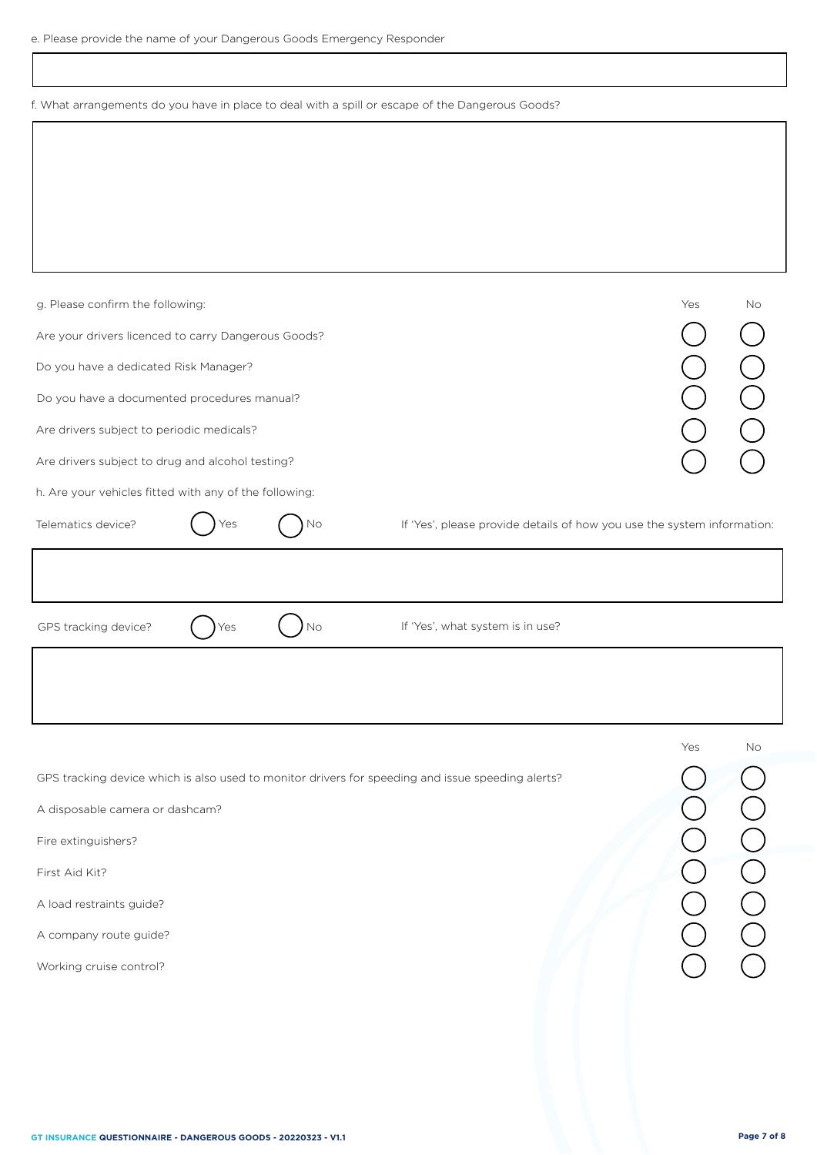f. What arrangements do you have in place to deal with a spill or escape of the Dangerous Goods?

| g. Please confirm the following:                                                                                                                                                                                                                               |                                                                         | Yes | No |
|----------------------------------------------------------------------------------------------------------------------------------------------------------------------------------------------------------------------------------------------------------------|-------------------------------------------------------------------------|-----|----|
| Are your drivers licenced to carry Dangerous Goods?                                                                                                                                                                                                            |                                                                         |     |    |
| Do you have a dedicated Risk Manager?                                                                                                                                                                                                                          |                                                                         |     |    |
| Do you have a documented procedures manual?                                                                                                                                                                                                                    |                                                                         |     |    |
| Are drivers subject to periodic medicals?                                                                                                                                                                                                                      |                                                                         |     |    |
| Are drivers subject to drug and alcohol testing?                                                                                                                                                                                                               |                                                                         |     |    |
| h. Are your vehicles fitted with any of the following:                                                                                                                                                                                                         |                                                                         |     |    |
| Telematics device?<br>No<br>Yes                                                                                                                                                                                                                                | If 'Yes', please provide details of how you use the system information: |     |    |
| No<br>GPS tracking device?<br>Yes                                                                                                                                                                                                                              | If 'Yes', what system is in use?                                        |     |    |
|                                                                                                                                                                                                                                                                |                                                                         |     |    |
| GPS tracking device which is also used to monitor drivers for speeding and issue speeding alerts?<br>A disposable camera or dashcam?<br>Fire extinguishers?<br>First Aid Kit?<br>A load restraints guide?<br>A company route guide?<br>Working cruise control? |                                                                         | Yes | No |